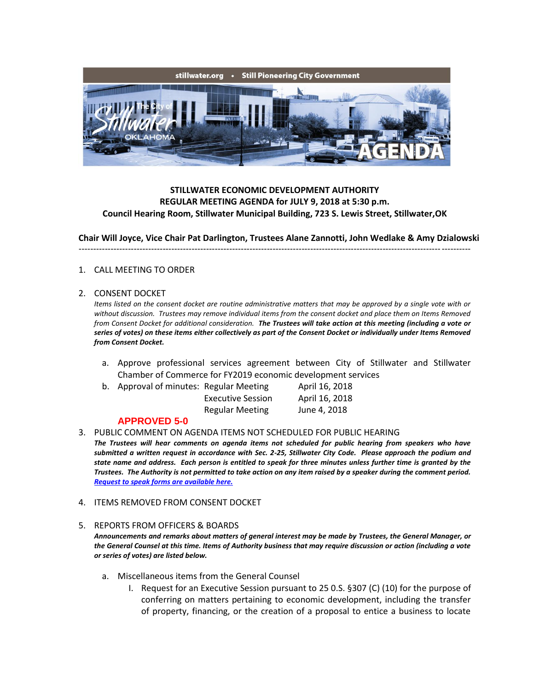

# **STILLWATER ECONOMIC DEVELOPMENT AUTHORITY REGULAR MEETING AGENDA for JULY 9, 2018 at 5:30 p.m. Council Hearing Room, Stillwater Municipal Building, 723 S. Lewis Street, Stillwater,OK**

**Chair Will Joyce, Vice Chair Pat Darlington, Trustees Alane Zannotti, John Wedlake & Amy Dzialowski**

---------------------------------------------------------------------------------------------------------------------------------------

### 1. CALL MEETING TO ORDER

### 2. CONSENT DOCKET

*Items listed on the consent docket are routine administrative matters that may be approved by a single vote with or without discussion. Trustees may remove individual items from the consent docket and place them on Items Removed from Consent Docket for additional consideration. The Trustees will take action at this meeting (including a vote or series of votes) on these items either collectively as part of the Consent Docket or individually under Items Removed from Consent Docket.*

- a. Approve professional services agreement between City of Stillwater and Stillwater Chamber of Commerce for FY2019 economic development services
- b. Approval of minutes: Regular Meeting April 16, 2018 Executive Session April 16, 2018

| Executive Session      | April 16, 201 |
|------------------------|---------------|
| <b>Regular Meeting</b> | June 4, 2018  |

## **APPROVED 5-0**

3. PUBLIC COMMENT ON AGENDA ITEMS NOT SCHEDULED FOR PUBLIC HEARING

*The Trustees will hear comments on agenda items not scheduled for public hearing from speakers who have submitted a written request in accordance with Sec. 2-25, Stillwater City Code. Please approach the podium and state name and address. Each person is entitled to speak for three minutes unless further time is granted by the Trustees. The Authority is not permitted to take action on any item raised by a speaker during the comment period. [Request to speak forms are available here.](http://stillwater.org/document/request_to_speak_at_city_council.php)*

4. ITEMS REMOVED FROM CONSENT DOCKET

### 5. REPORTS FROM OFFICERS & BOARDS

*Announcements and remarks about matters of general interest may be made by Trustees, the General Manager, or the General Counsel at this time. Items of Authority business that may require discussion or action (including a vote or series of votes) are listed below.*

- a. Miscellaneous items from the General Counsel
	- I. Request for an Executive Session pursuant to 25 0.S. §307 (C) (10) for the purpose of conferring on matters pertaining to economic development, including the transfer of property, financing, or the creation of a proposal to entice a business to locate